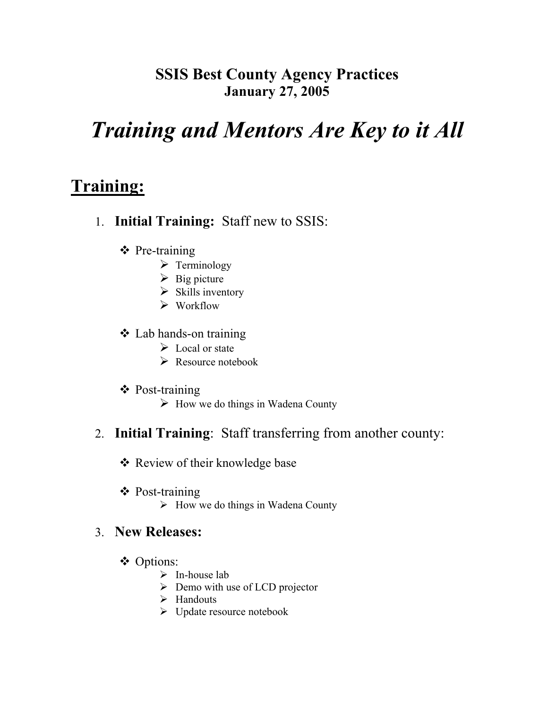### **SSIS Best County Agency Practices January 27, 2005**

# *Training and Mentors Are Key to it All*

## **Training:**

- 1. **Initial Training:** Staff new to SSIS:
	- ❖ Pre-training
		- $\triangleright$  Terminology
		- $\triangleright$  Big picture
		- $\triangleright$  Skills inventory
		- $\triangleright$  Workflow
	- Lab hands-on training
		- $\triangleright$  Local or state
		- $\triangleright$  Resource notebook
	- Post-training
		- $\triangleright$  How we do things in Wadena County

#### 2. **Initial Training**: Staff transferring from another county:

- Review of their knowledge base
- Post-training
	- $\triangleright$  How we do things in Wadena County

#### 3. **New Releases:**

- Options:
	- $\triangleright$  In-house lab
	- $\triangleright$  Demo with use of LCD projector
	- $\triangleright$  Handouts
	- $\triangleright$  Update resource notebook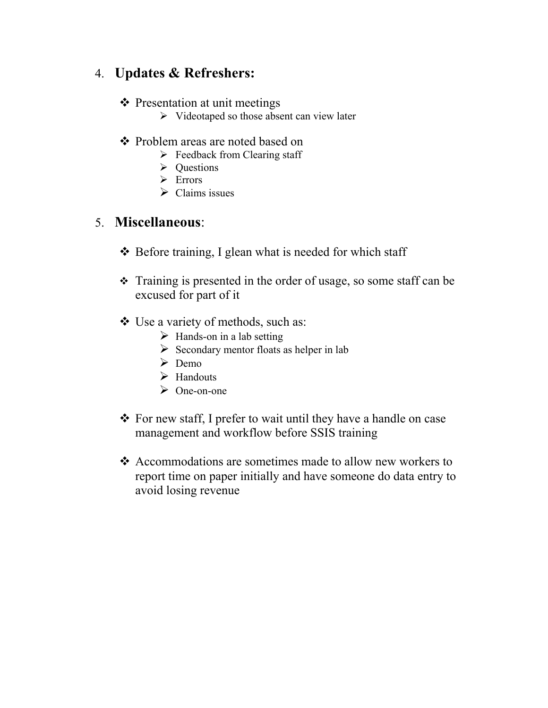### 4. **Updates & Refreshers:**

#### ❖ Presentation at unit meetings

- $\triangleright$  Videotaped so those absent can view later
- Problem areas are noted based on
	- $\triangleright$  Feedback from Clearing staff
	- **►** Questions
	- $\triangleright$  Errors
	- $\triangleright$  Claims issues

#### 5. **Miscellaneous**:

- ❖ Before training, I glean what is needed for which staff
- Training is presented in the order of usage, so some staff can be excused for part of it
- Use a variety of methods, such as:
	- $\triangleright$  Hands-on in a lab setting
	- $\triangleright$  Secondary mentor floats as helper in lab
	- $\triangleright$  Demo
	- $\blacktriangleright$  Handouts
	- $\triangleright$  One-on-one
- \* For new staff, I prefer to wait until they have a handle on case management and workflow before SSIS training
- ❖ Accommodations are sometimes made to allow new workers to report time on paper initially and have someone do data entry to avoid losing revenue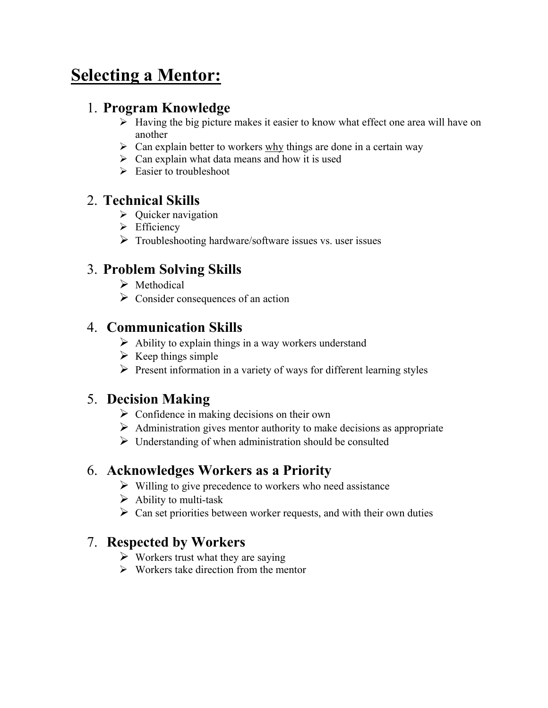# **Selecting a Mentor:**

#### 1. **Program Knowledge**

- $\triangleright$  Having the big picture makes it easier to know what effect one area will have on another
- $\triangleright$  Can explain better to workers why things are done in a certain way
- $\triangleright$  Can explain what data means and how it is used
- $\triangleright$  Easier to troubleshoot

### 2. **Technical Skills**

- $\triangleright$  Quicker navigation
- $\triangleright$  Efficiency
- $\triangleright$  Troubleshooting hardware/software issues vs. user issues

### 3. **Problem Solving Skills**

- $\triangleright$  Methodical
- $\triangleright$  Consider consequences of an action

### 4. **Communication Skills**

- $\triangleright$  Ability to explain things in a way workers understand
- $\triangleright$  Keep things simple
- $\triangleright$  Present information in a variety of ways for different learning styles

### 5. **Decision Making**

- $\triangleright$  Confidence in making decisions on their own
- $\triangleright$  Administration gives mentor authority to make decisions as appropriate
- $\triangleright$  Understanding of when administration should be consulted

### 6. **Acknowledges Workers as a Priority**

- $\triangleright$  Willing to give precedence to workers who need assistance
- $\triangleright$  Ability to multi-task
- $\triangleright$  Can set priorities between worker requests, and with their own duties

### 7. **Respected by Workers**

- $\triangleright$  Workers trust what they are saying
- $\triangleright$  Workers take direction from the mentor